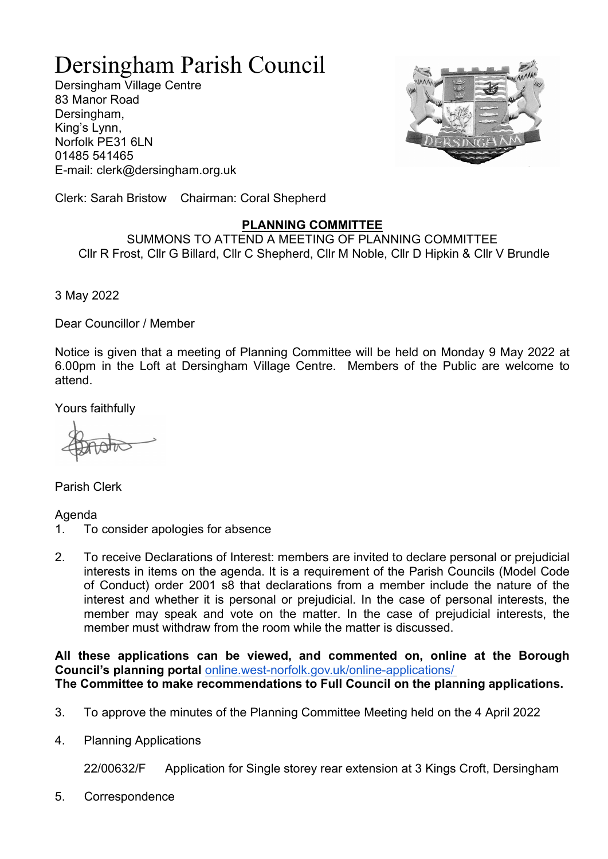## Dersingham Parish Council

Dersingham Village Centre 83 Manor Road Dersingham, King's Lynn, Norfolk PE31 6LN 01485 541465 E-mail: clerk@dersingham.org.uk



Clerk: Sarah Bristow Chairman: Coral Shepherd

## PLANNING COMMITTEE

SUMMONS TO ATTEND A MEETING OF PLANNING COMMITTEE Cllr R Frost, Cllr G Billard, Cllr C Shepherd, Cllr M Noble, Cllr D Hipkin & Cllr V Brundle

3 May 2022

Dear Councillor / Member

Notice is given that a meeting of Planning Committee will be held on Monday 9 May 2022 at 6.00pm in the Loft at Dersingham Village Centre. Members of the Public are welcome to attend.

Yours faithfully

Parish Clerk

## Agenda

- 1. To consider apologies for absence
- 2. To receive Declarations of Interest: members are invited to declare personal or prejudicial interests in items on the agenda. It is a requirement of the Parish Councils (Model Code of Conduct) order 2001 s8 that declarations from a member include the nature of the interest and whether it is personal or prejudicial. In the case of personal interests, the member may speak and vote on the matter. In the case of prejudicial interests, the member must withdraw from the room while the matter is discussed.

All these applications can be viewed, and commented on, online at the Borough Council's planning portal online.west-norfolk.gov.uk/online-applications/ The Committee to make recommendations to Full Council on the planning applications.

- 3. To approve the minutes of the Planning Committee Meeting held on the 4 April 2022
- 4. Planning Applications

22/00632/F Application for Single storey rear extension at 3 Kings Croft, Dersingham

5. Correspondence